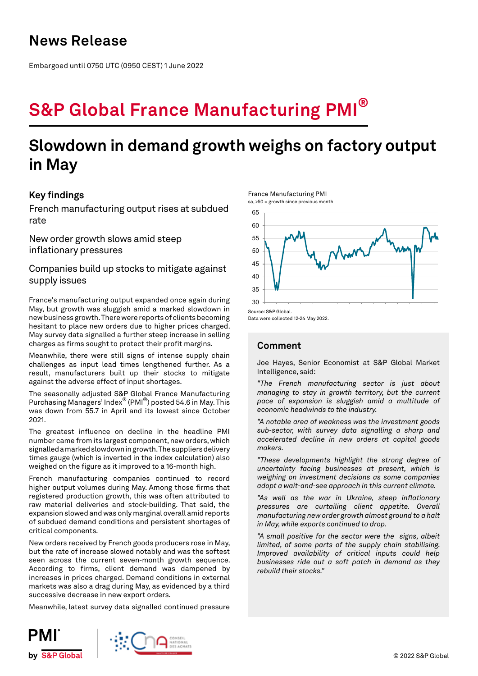# **News Release**

Embargoed until 0750 UTC (0950 CEST) 1 June 2022

# **S&P Global France Manufacturing PMI®**

# **Slowdown in demand growth weighs on factory output in May**

# **Key findings**

French manufacturing output rises at subdued rate

New order growth slows amid steep inflationary pressures

Companies build up stocks to mitigate against supply issues

France's manufacturing output expanded once again during May, but growth was sluggish amid a marked slowdown in new business growth. There were reports of clients becoming hesitant to place new orders due to higher prices charged. May survey data signalled a further steep increase in selling charges as firms sought to protect their profit margins.

Meanwhile, there were still signs of intense supply chain challenges as input lead times lengthened further. As a result, manufacturers built up their stocks to mitigate against the adverse effect of input shortages.

The seasonally adjusted S&P Global France Manufacturing Purchasing Managers' Index® (PMI®) posted 54.6 in May. This was down from 55.7 in April and its lowest since October 2021.

The greatest influence on decline in the headline PMI number came from its largest component, new orders, which signalled a marked slowdown in growth. The suppliers delivery times gauge (which is inverted in the index calculation) also weighed on the figure as it improved to a 16-month high.

French manufacturing companies continued to record higher output volumes during May. Among those firms that registered production growth, this was often attributed to raw material deliveries and stock-building. That said, the expansion slowed and was only marginal overall amid reports of subdued demand conditions and persistent shortages of critical components.

New orders received by French goods producers rose in May, but the rate of increase slowed notably and was the softest seen across the current seven-month growth sequence. According to firms, client demand was dampened by increases in prices charged. Demand conditions in external markets was also a drag during May, as evidenced by a third successive decrease in new export orders.

Meanwhile, latest survey data signalled continued pressure







Data were collected 12-24 May 2022.

France Manufacturing PMI

# **Comment**

Joe Hayes, Senior Economist at S&P Global Market Intelligence, said:

*"The French manufacturing sector is just about managing to stay in growth territory, but the current pace of expansion is sluggish amid a multitude of economic headwinds to the industry.* 

*"A notable area of weakness was the investment goods sub-sector, with survey data signalling a sharp and accelerated decline in new orders at capital goods makers.* 

*"These developments highlight the strong degree of uncertainty facing businesses at present, which is weighing on investment decisions as some companies adopt a wait-and-see approach in this current climate.*

*"As well as the war in Ukraine, steep inflationary pressures are curtailing client appetite. Overall manufacturing new order growth almost ground to a halt in May, while exports continued to drop.* 

*"A small positive for the sector were the signs, albeit limited, of some parts of the supply chain stabilising. Improved availability of critical inputs could help businesses ride out a soft patch in demand as they rebuild their stocks."*